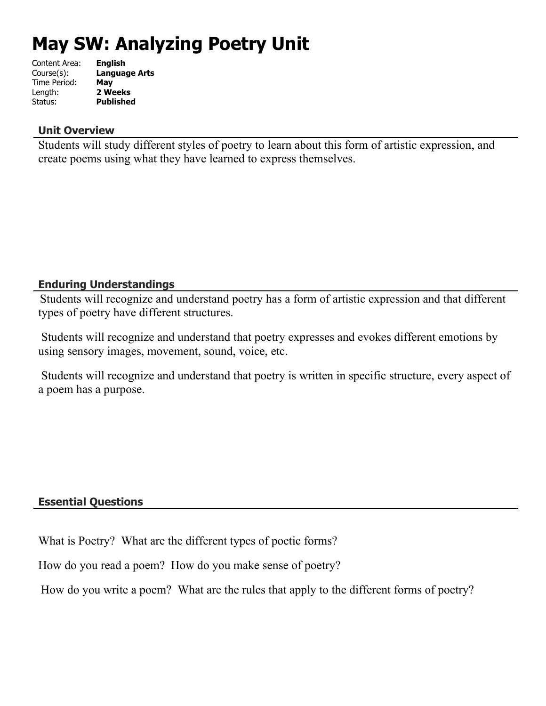# **May SW: Analyzing Poetry Unit**

| <b>English</b>   |
|------------------|
| Language Arts    |
| May              |
| 2 Weeks          |
| <b>Published</b> |
|                  |

### **Unit Overview**

Students will study different styles of poetry to learn about this form of artistic expression, and create poems using what they have learned to express themselves.

# **Enduring Understandings**

Students will recognize and understand poetry has a form of artistic expression and that different types of poetry have different structures.

 Students will recognize and understand that poetry expresses and evokes different emotions by using sensory images, movement, sound, voice, etc.

 Students will recognize and understand that poetry is written in specific structure, every aspect of a poem has a purpose.

# **Essential Questions**

What is Poetry? What are the different types of poetic forms?

How do you read a poem? How do you make sense of poetry?

How do you write a poem? What are the rules that apply to the different forms of poetry?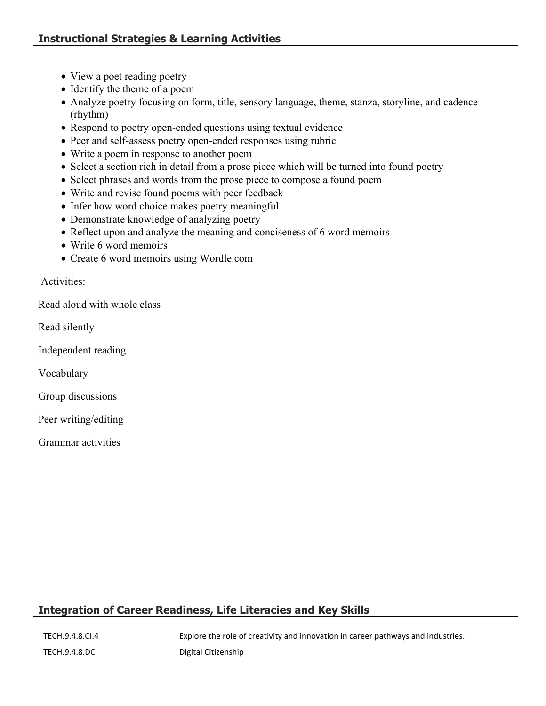- View a poet reading poetry
- Identify the theme of a poem
- Analyze poetry focusing on form, title, sensory language, theme, stanza, storyline, and cadence (rhythm)
- Respond to poetry open-ended questions using textual evidence
- Peer and self-assess poetry open-ended responses using rubric
- Write a poem in response to another poem
- Select a section rich in detail from a prose piece which will be turned into found poetry
- Select phrases and words from the prose piece to compose a found poem
- Write and revise found poems with peer feedback
- Infer how word choice makes poetry meaningful
- Demonstrate knowledge of analyzing poetry
- Reflect upon and analyze the meaning and conciseness of 6 word memoirs
- Write 6 word memoirs
- Create 6 word memoirs using Wordle.com

Activities:

Read aloud with whole class

Read silently

Independent reading

Vocabulary

Group discussions

Peer writing/editing

Grammar activities

# **Integration of Career Readiness, Life Literacies and Key Skills**

TECH.9.4.8.CI.4 Explore the role of creativity and innovation in career pathways and industries.

TECH.9.4.8.DC Digital Citizenship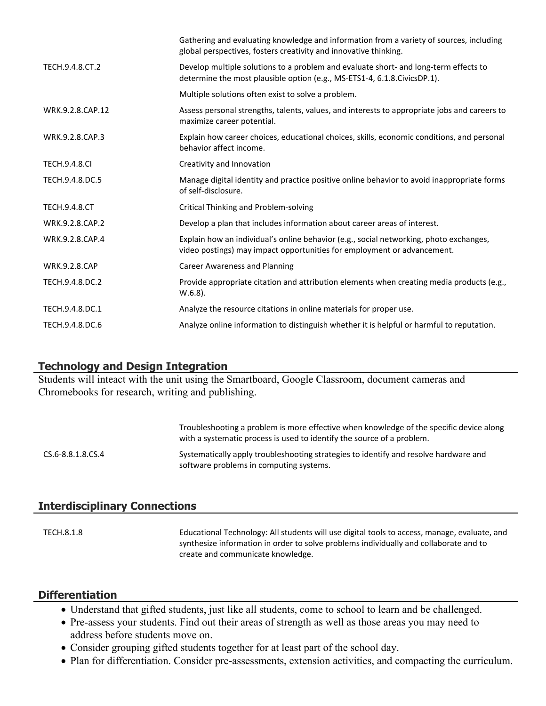|                      | Gathering and evaluating knowledge and information from a variety of sources, including<br>global perspectives, fosters creativity and innovative thinking.       |
|----------------------|-------------------------------------------------------------------------------------------------------------------------------------------------------------------|
| TECH.9.4.8.CT.2      | Develop multiple solutions to a problem and evaluate short- and long-term effects to<br>determine the most plausible option (e.g., MS-ETS1-4, 6.1.8.CivicsDP.1).  |
|                      | Multiple solutions often exist to solve a problem.                                                                                                                |
| WRK.9.2.8.CAP.12     | Assess personal strengths, talents, values, and interests to appropriate jobs and careers to<br>maximize career potential.                                        |
| WRK.9.2.8.CAP.3      | Explain how career choices, educational choices, skills, economic conditions, and personal<br>behavior affect income.                                             |
| <b>TECH.9.4.8.CI</b> | Creativity and Innovation                                                                                                                                         |
| TECH.9.4.8.DC.5      | Manage digital identity and practice positive online behavior to avoid inappropriate forms<br>of self-disclosure.                                                 |
| <b>TECH.9.4.8.CT</b> | <b>Critical Thinking and Problem-solving</b>                                                                                                                      |
| WRK.9.2.8.CAP.2      | Develop a plan that includes information about career areas of interest.                                                                                          |
| WRK.9.2.8.CAP.4      | Explain how an individual's online behavior (e.g., social networking, photo exchanges,<br>video postings) may impact opportunities for employment or advancement. |
| <b>WRK.9.2.8.CAP</b> | <b>Career Awareness and Planning</b>                                                                                                                              |
| TECH.9.4.8.DC.2      | Provide appropriate citation and attribution elements when creating media products (e.g.,<br>$W.6.8$ ).                                                           |
| TECH.9.4.8.DC.1      | Analyze the resource citations in online materials for proper use.                                                                                                |
| TECH.9.4.8.DC.6      | Analyze online information to distinguish whether it is helpful or harmful to reputation.                                                                         |
|                      |                                                                                                                                                                   |

#### **Technology and Design Integration**

Students will inteact with the unit using the Smartboard, Google Classroom, document cameras and Chromebooks for research, writing and publishing.

Troubleshooting a problem is more effective when knowledge of the specific device along with a systematic process is used to identify the source of a problem. CS.6-8.8.1.8.CS.4 Systematically apply troubleshooting strategies to identify and resolve hardware and software problems in computing systems.

#### **Interdisciplinary Connections**

TECH.8.1.8 Educational Technology: All students will use digital tools to access, manage, evaluate, and synthesize information in order to solve problems individually and collaborate and to create and communicate knowledge.

#### **Differentiation**

- Understand that gifted students, just like all students, come to school to learn and be challenged.
- Pre-assess your students. Find out their areas of strength as well as those areas you may need to address before students move on.
- Consider grouping gifted students together for at least part of the school day.
- Plan for differentiation. Consider pre-assessments, extension activities, and compacting the curriculum.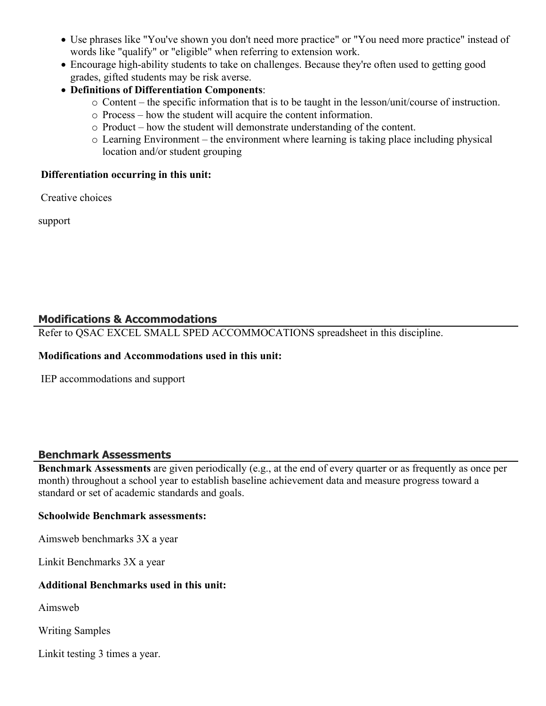- Use phrases like "You've shown you don't need more practice" or "You need more practice" instead of words like "qualify" or "eligible" when referring to extension work.
- Encourage high-ability students to take on challenges. Because they're often used to getting good grades, gifted students may be risk averse.
- **Definitions of Differentiation Components**:
	- o Content the specific information that is to be taught in the lesson/unit/course of instruction.
	- o Process how the student will acquire the content information.
	- o Product how the student will demonstrate understanding of the content.
	- o Learning Environment the environment where learning is taking place including physical location and/or student grouping

#### **Differentiation occurring in this unit:**

Creative choices

support

# **Modifications & Accommodations**

Refer to QSAC EXCEL SMALL SPED ACCOMMOCATIONS spreadsheet in this discipline.

#### **Modifications and Accommodations used in this unit:**

IEP accommodations and support

# **Benchmark Assessments**

**Benchmark Assessments** are given periodically (e.g., at the end of every quarter or as frequently as once per month) throughout a school year to establish baseline achievement data and measure progress toward a standard or set of academic standards and goals.

#### **Schoolwide Benchmark assessments:**

Aimsweb benchmarks 3X a year

Linkit Benchmarks 3X a year

#### **Additional Benchmarks used in this unit:**

Aimsweb

Writing Samples

Linkit testing 3 times a year.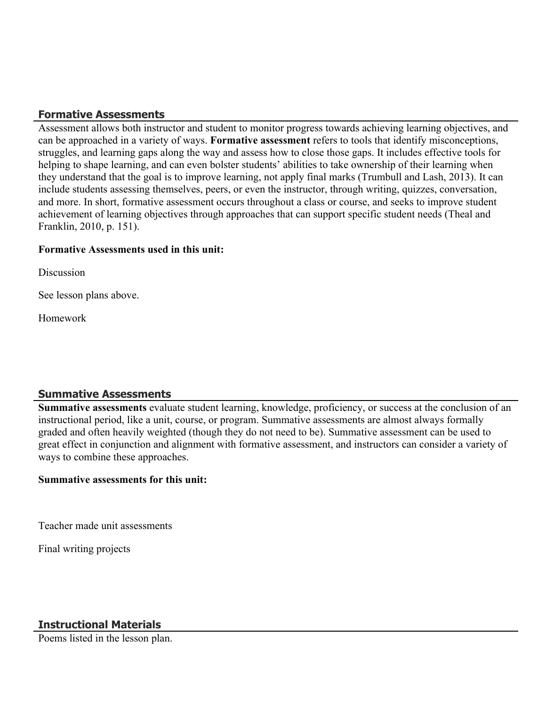# **Formative Assessments**

Assessment allows both instructor and student to monitor progress towards achieving learning objectives, and can be approached in a variety of ways. **Formative assessment** refers to tools that identify misconceptions, struggles, and learning gaps along the way and assess how to close those gaps. It includes effective tools for helping to shape learning, and can even bolster students' abilities to take ownership of their learning when they understand that the goal is to improve learning, not apply final marks (Trumbull and Lash, 2013). It can include students assessing themselves, peers, or even the instructor, through writing, quizzes, conversation, and more. In short, formative assessment occurs throughout a class or course, and seeks to improve student achievement of learning objectives through approaches that can support specific student needs (Theal and Franklin, 2010, p. 151).

#### **Formative Assessments used in this unit:**

**Discussion** 

See lesson plans above.

Homework

# **Summative Assessments**

**Summative assessments** evaluate student learning, knowledge, proficiency, or success at the conclusion of an instructional period, like a unit, course, or program. Summative assessments are almost always formally graded and often heavily weighted (though they do not need to be). Summative assessment can be used to great effect in conjunction and alignment with formative assessment, and instructors can consider a variety of ways to combine these approaches.

#### **Summative assessments for this unit:**

Teacher made unit assessments

Final writing projects

Poems listed in the lesson plan.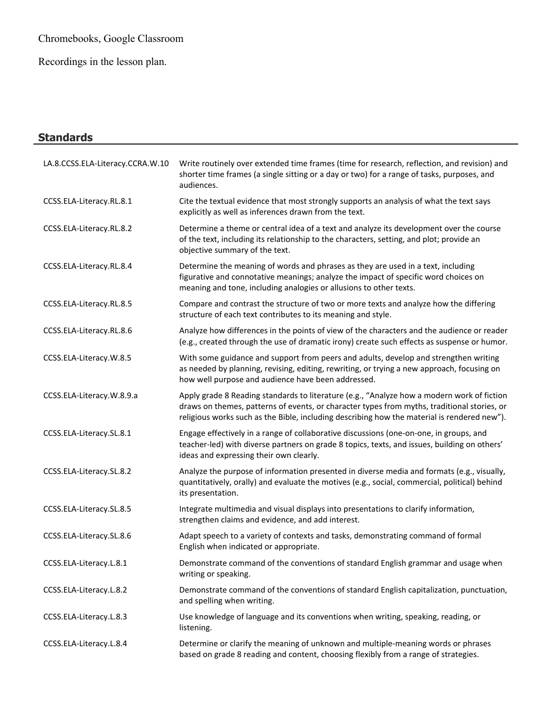Chromebooks, Google Classroom

Recordings in the lesson plan.

# **Standards** LA.8.CCSS.ELA-Literacy.CCRA.W.10 Write routinely over extended time frames (time for research, reflection, and revision) and shorter time frames (a single sitting or a day or two) for a range of tasks, purposes, and audiences. CCSS.ELA-Literacy.RL.8.1 Cite the textual evidence that most strongly supports an analysis of what the text says explicitly as well as inferences drawn from the text. CCSS.ELA-Literacy.RL.8.2 Determine a theme or central idea of a text and analyze its development over the course of the text, including its relationship to the characters, setting, and plot; provide an objective summary of the text. CCSS.ELA-Literacy.RL.8.4 Determine the meaning of words and phrases as they are used in a text, including figurative and connotative meanings; analyze the impact of specific word choices on meaning and tone, including analogies or allusions to other texts. CCSS.ELA-Literacy.RL.8.5 Compare and contrast the structure of two or more texts and analyze how the differing structure of each text contributes to its meaning and style. CCSS.ELA-Literacy.RL.8.6 Analyze how differences in the points of view of the characters and the audience or reader (e.g., created through the use of dramatic irony) create such effects as suspense or humor. CCSS.ELA-Literacy.W.8.5 With some guidance and support from peers and adults, develop and strengthen writing as needed by planning, revising, editing, rewriting, or trying a new approach, focusing on how well purpose and audience have been addressed. CCSS.ELA-Literacy.W.8.9.a Apply grade 8 Reading standards to literature (e.g., "Analyze how a modern work of fiction draws on themes, patterns of events, or character types from myths, traditional stories, or religious works such as the Bible, including describing how the material is rendered new"). CCSS.ELA-Literacy.SL.8.1 Engage effectively in a range of collaborative discussions (one-on-one, in groups, and teacher-led) with diverse partners on grade 8 topics, texts, and issues, building on others' ideas and expressing their own clearly. CCSS.ELA-Literacy.SL.8.2 Analyze the purpose of information presented in diverse media and formats (e.g., visually, quantitatively, orally) and evaluate the motives (e.g., social, commercial, political) behind its presentation. CCSS.ELA-Literacy.SL.8.5 Integrate multimedia and visual displays into presentations to clarify information, strengthen claims and evidence, and add interest. CCSS.ELA-Literacy.SL.8.6 Adapt speech to a variety of contexts and tasks, demonstrating command of formal English when indicated or appropriate. CCSS.ELA-Literacy.L.8.1 Demonstrate command of the conventions of standard English grammar and usage when writing or speaking. CCSS.ELA-Literacy.L.8.2 Demonstrate command of the conventions of standard English capitalization, punctuation, and spelling when writing. CCSS.ELA-Literacy.L.8.3 Use knowledge of language and its conventions when writing, speaking, reading, or listening.

CCSS.ELA-Literacy.L.8.4 Determine or clarify the meaning of unknown and multiple-meaning words or phrases based on grade 8 reading and content, choosing flexibly from a range of strategies.